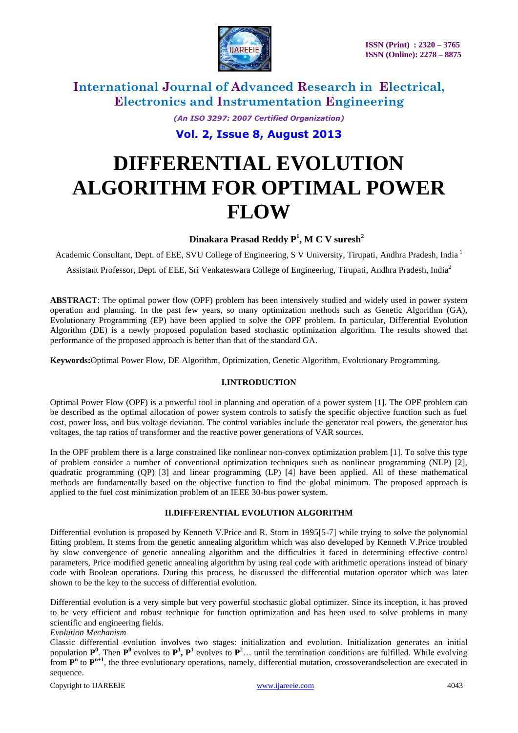

*(An ISO 3297: 2007 Certified Organization)*

**Vol. 2, Issue 8, August 2013**

# **DIFFERENTIAL EVOLUTION ALGORITHM FOR OPTIMAL POWER FLOW**

### **Dinakara Prasad Reddy P<sup>1</sup> , M C V suresh<sup>2</sup>**

Academic Consultant, Dept. of EEE, SVU College of Engineering, S V University, Tirupati, Andhra Pradesh, India <sup>1</sup>

Assistant Professor, Dept. of EEE, Sri Venkateswara College of Engineering, Tirupati, Andhra Pradesh, India<sup>2</sup>

**ABSTRACT**: The optimal power flow (OPF) problem has been intensively studied and widely used in power system operation and planning. In the past few years, so many optimization methods such as Genetic Algorithm (GA), Evolutionary Programming (EP) have been applied to solve the OPF problem. In particular, Differential Evolution Algorithm (DE) is a newly proposed population based stochastic optimization algorithm. The results showed that performance of the proposed approach is better than that of the standard GA.

**Keywords:**Optimal Power Flow, DE Algorithm, Optimization, Genetic Algorithm, Evolutionary Programming.

### **I.INTRODUCTION**

Optimal Power Flow (OPF) is a powerful tool in planning and operation of a power system [1]. The OPF problem can be described as the optimal allocation of power system controls to satisfy the specific objective function such as fuel cost, power loss, and bus voltage deviation. The control variables include the generator real powers, the generator bus voltages, the tap ratios of transformer and the reactive power generations of VAR sources.

In the OPF problem there is a large constrained like nonlinear non-convex optimization problem [1]. To solve this type of problem consider a number of conventional optimization techniques such as nonlinear programming (NLP) [2], quadratic programming (QP) [3] and linear programming (LP) [4] have been applied. All of these mathematical methods are fundamentally based on the objective function to find the global minimum. The proposed approach is applied to the fuel cost minimization problem of an IEEE 30-bus power system.

### **II.DIFFERENTIAL EVOLUTION ALGORITHM**

Differential evolution is proposed by Kenneth V.Price and R. Storn in 1995[5-7] while trying to solve the polynomial fitting problem. It stems from the genetic annealing algorithm which was also developed by Kenneth V.Price troubled by slow convergence of genetic annealing algorithm and the difficulties it faced in determining effective control parameters, Price modified genetic annealing algorithm by using real code with arithmetic operations instead of binary code with Boolean operations. During this process, he discussed the differential mutation operator which was later shown to be the key to the success of differential evolution.

Differential evolution is a very simple but very powerful stochastic global optimizer. Since its inception, it has proved to be very efficient and robust technique for function optimization and has been used to solve problems in many scientific and engineering fields.

### *Evolution Mechanism*

Classic differential evolution involves two stages: initialization and evolution. Initialization generates an initial population  $P^0$ . Then  $P^0$  evolves to  $P^1$ ,  $P^1$  evolves to  $P^2$ ... until the termination conditions are fulfilled. While evolving from  $P<sup>n</sup>$  to  $P<sup>n+1</sup>$ , the three evolutionary operations, namely, differential mutation, crossoverandselection are executed in sequence.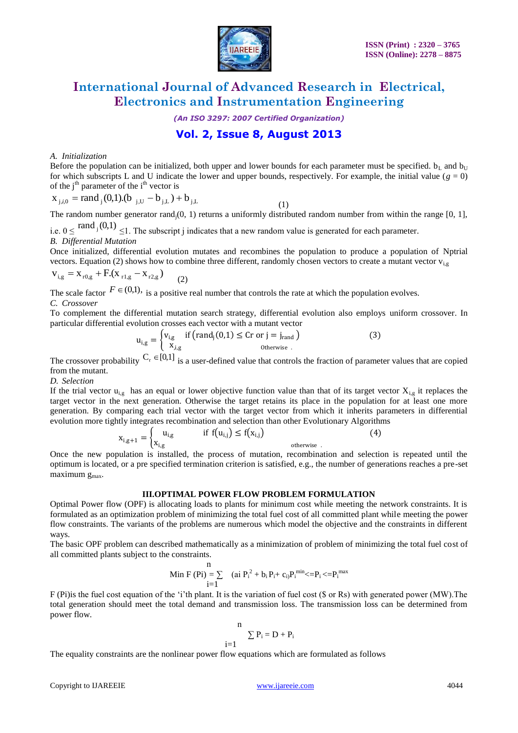

*(An ISO 3297: 2007 Certified Organization)*

### **Vol. 2, Issue 8, August 2013**

### *A. Initialization*

Before the population can be initialized, both upper and lower bounds for each parameter must be specified.  $b_L$  and  $b_U$ for which subscripts L and U indicate the lower and upper bounds, respectively. For example, the initial value  $(g = 0)$ of the  $j<sup>th</sup>$  parameter of the  $i<sup>th</sup>$  vector is

$$
x_{j,i,0} = rand_j(0,1).(b_{j,U} - b_{j,L}) + b_{j,L}
$$
 (1)

The random number generator rand<sub>i</sub> $(0, 1)$  returns a uniformly distributed random number from within the range [0, 1],

i.e.  $0 \leq$  rand  $\mathfrak{g}(0,1) \leq 1$ . The subscript j indicates that a new random value is generated for each parameter. *B. Differential Mutation*

Once initialized, differential evolution mutates and recombines the population to produce a population of Nptrial vectors. Equation (2) shows how to combine three different, randomly chosen vectors to create a mutant vector  $v_i$ ,

$$
v_{i,g} = x_{r0,g} + F(x_{r1,g} - x_{r2,g})
$$
 (2)

The scale factor  $F \in (0,1)$ , is a positive real number that controls the rate at which the population evolves. *C. Crossover*

To complement the differential mutation search strategy, differential evolution also employs uniform crossover. In particular differential evolution crosses each vector with a mutant vector

$$
u_{i,g} = \begin{cases} v_{i,g} & \text{if (rand}_j(0,1) \leq Cr \text{ or } j = j_{rand} \\ x_{i,g} & \text{otherwise} \end{cases}
$$
 (3)

The crossover probability  $C_r \in [0,1]$  is a user-defined value that controls the fraction of parameter values that are copied from the mutant.

#### *D. Selection*

If the trial vector  $u_{i,g}$  has an equal or lower objective function value than that of its target vector  $X_{i,g}$  it replaces the target vector in the next generation. Otherwise the target retains its place in the population for at least one more generation. By comparing each trial vector with the target vector from which it inherits parameters in differential evolution more tightly integrates recombination and selection than other Evolutionary Algorithms

$$
\mathbf{x}_{i,g+1} = \begin{cases} \mathbf{u}_{i,g} & \text{if } \mathbf{f}(\mathbf{u}_{i,j}) \le \mathbf{f}(\mathbf{x}_{i,j}) \\ \mathbf{x}_{i,g} & \text{otherwise} \end{cases} \tag{4}
$$

Once the new population is installed, the process of mutation, recombination and selection is repeated until the optimum is located, or a pre specified termination criterion is satisfied, e.g., the number of generations reaches a pre-set maximum g<sub>max</sub>.

#### **III.OPTIMAL POWER FLOW PROBLEM FORMULATION**

Optimal Power flow (OPF) is allocating loads to plants for minimum cost while meeting the network constraints. It is formulated as an optimization problem of minimizing the total fuel cost of all committed plant while meeting the power flow constraints. The variants of the problems are numerous which model the objective and the constraints in different ways.

The basic OPF problem can described mathematically as a minimization of problem of minimizing the total fuel cost of all committed plants subject to the constraints.

$$
\begin{array}{ll} & n\\ \hspace{-2.5cm} M\text{in} \ F\left(Pi\right)=\sum\limits_{i=1}^{n} & (ai \ P^{~2}_{i}+b_{i}P_{i}+c_{i)}P^{~min}_{i} < =\!\!P_{i} < =\!\!P^{~max}_{i}\end{array}
$$

F (Pi)is the fuel cost equation of the "i"th plant. It is the variation of fuel cost (\$ or Rs) with generated power (MW).The total generation should meet the total demand and transmission loss. The transmission loss can be determined from power flow.

$$
\begin{array}{c}\nn\\i=1\n\end{array}\n\sum P_i = D + P_i
$$

The equality constraints are the nonlinear power flow equations which are formulated as follows

 $i=$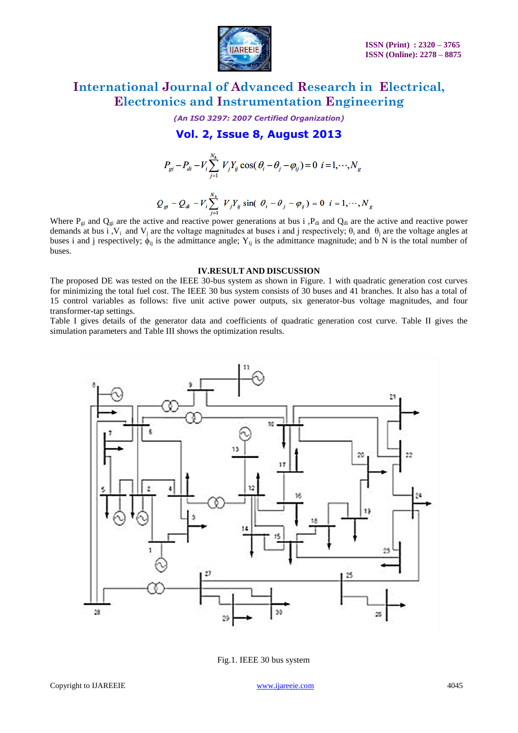

*(An ISO 3297: 2007 Certified Organization)*

**Vol. 2, Issue 8, August 2013**

$$
P_{gi} - P_{di} - V_i \sum_{j=1}^{N_b} V_j Y_{ij} \cos(\theta_i - \theta_j - \varphi_{ij}) = 0 \ \ i = 1, \cdots, N_g
$$

$$
Q_{gi} - Q_{di} - V_i \sum_{j=1}^{N_b} V_j Y_{ij} \sin(\theta_i - \theta_j - \varphi_{ij}) = 0 \quad i = 1, \cdots, N_g
$$

Where  $P_{gi}$  and  $Q_{gi}$  are the active and reactive power generations at bus i , $P_{di}$  and  $Q_{di}$  are the active and reactive power demands at bus i,  $V_i$  and  $V_j$  are the voltage magnitudes at buses i and j respectively;  $\theta_i$  and  $\theta_j$  are the voltage angles at buses i and j respectively;  $\dot{\phi}_{ij}$  is the admittance angle; Y<sub>ij</sub> is the admittance magnitude; and b N is the total number of buses.

#### **IV.RESULT AND DISCUSSION**

The proposed DE was tested on the IEEE 30-bus system as shown in Figure. 1 with quadratic generation cost curves for minimizing the total fuel cost. The IEEE 30 bus system consists of 30 buses and 41 branches. It also has a total of 15 control variables as follows: five unit active power outputs, six generator-bus voltage magnitudes, and four transformer-tap settings.

Table I gives details of the generator data and coefficients of quadratic generation cost curve. Table II gives the simulation parameters and Table III shows the optimization results.



Fig.1. IEEE 30 bus system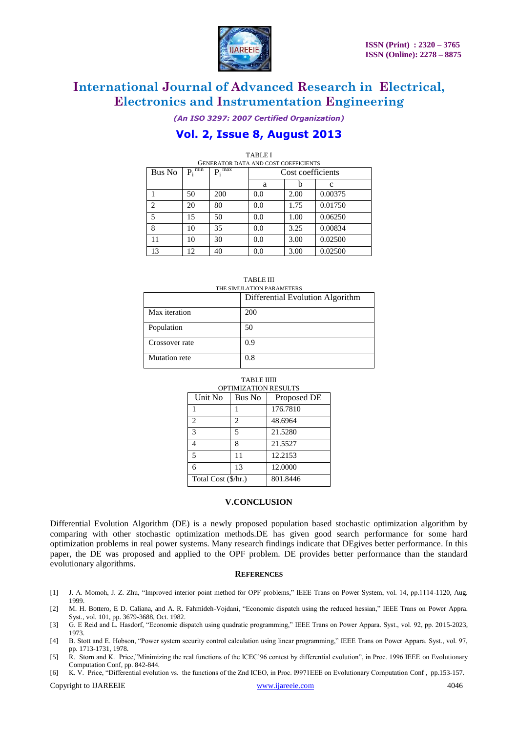

*(An ISO 3297: 2007 Certified Organization)*

### **Vol. 2, Issue 8, August 2013**

| <b>TABLE I</b><br><b>GENERATOR DATA AND COST COEFFICIENTS</b> |             |             |                   |      |         |  |  |
|---------------------------------------------------------------|-------------|-------------|-------------------|------|---------|--|--|
| Bus No                                                        | $P_i^{min}$ | $P_i^{max}$ | Cost coefficients |      |         |  |  |
|                                                               |             |             | a                 |      | c       |  |  |
|                                                               | 50          | 200         | 0.0               | 2.00 | 0.00375 |  |  |
| $\overline{c}$                                                | 20          | 80          | 0.0               | 1.75 | 0.01750 |  |  |
| 5                                                             | 15          | 50          | 0.0               | 1.00 | 0.06250 |  |  |
| 8                                                             | 10          | 35          | 0.0               | 3.25 | 0.00834 |  |  |
| 11                                                            | 10          | 30          | 0.0               | 3.00 | 0.02500 |  |  |
| 13                                                            | 12          | 40          | 0.0               | 3.00 | 0.02500 |  |  |

| ∠                           | ∠∪ | $\sigma v$ | v.v | 1.79 | 0.01120 |  |
|-----------------------------|----|------------|-----|------|---------|--|
| 5                           | 15 | 50         | 0.0 | 1.00 | 0.06250 |  |
| 8                           | 10 | 35         | 0.0 | 3.25 | 0.00834 |  |
| 11                          | 10 | 30         | 0.0 | 3.00 | 0.02500 |  |
| 13                          | 12 | 40         | 0.0 | 3.00 | 0.02500 |  |
| <b>TABLE III</b>            |    |            |     |      |         |  |
| TUE OR HU ATION BAD AMETERS |    |            |     |      |         |  |

| THE SIMULATION PARAMETERS |                                  |  |  |  |
|---------------------------|----------------------------------|--|--|--|
|                           | Differential Evolution Algorithm |  |  |  |
| Max iteration             | 200                              |  |  |  |
| Population                | 50                               |  |  |  |
| Crossover rate            | 0.9                              |  |  |  |
| Mutation rete             | 0.8                              |  |  |  |

#### TABLE IIIII OPTIMIZATION RESULTS

| Unit No             | Bus No         | Proposed DE |  |
|---------------------|----------------|-------------|--|
|                     |                | 176.7810    |  |
| $\mathfrak{D}$      | $\overline{c}$ | 48.6964     |  |
| 3                   | 5              | 21.5280     |  |
|                     | 8              | 21.5527     |  |
| 5                   | 11             | 12.2153     |  |
| 6                   | 13             | 12.0000     |  |
| Total Cost (\$/hr.) |                | 801.8446    |  |

### **V.CONCLUSION**

Differential Evolution Algorithm (DE) is a newly proposed population based stochastic optimization algorithm by comparing with other stochastic optimization methods.DE has given good search performance for some hard optimization problems in real power systems. Many research findings indicate that DEgives better performance. In this paper, the DE was proposed and applied to the OPF problem. DE provides better performance than the standard evolutionary algorithms.

#### **REFERENCES**

- [1] J. A. Momoh, J. Z. Zhu, "Improved interior point method for OPF problems," IEEE Trans on Power System, vol. 14, pp.1114-1120, Aug. 1999.
- [2] M. H. Bottero, E D. Caliana, and A. R. Fahmideh-Vojdani, "Economic dispatch using the reduced hessian," IEEE Trans on Power Appra. Syst., vol. 101, pp. 3679-3688, Oct. 1982.
- [3] G. E Reid and L. Hasdorf, "Economic dispatch using quadratic programming," IEEE Trans on Power Appara. Syst., vol. 92, pp. 2015-2023, 1973.
- [4] B. Stott and E. Hobson, "Power system security control calculation using linear programming," IEEE Trans on Power Appara. Syst., vol. 97, pp. 1713-1731, 1978.
- [5] R. Storn and K. Price,"Minimizing the real functions of the ICEC"96 contest by differential evolution", in Proc. 1996 IEEE on Evolutionary Computation Conf, pp. 842-844.
- [6] K. V. Price, "Differential evolution vs. the functions of the Znd ICEO, in Proc. I9971EEE on Evolutionary Cornputation Conf , pp.153-157.

Copyright to IJAREEIE [www.ijareeie.com](http://www.ijareeie.com/) 4046